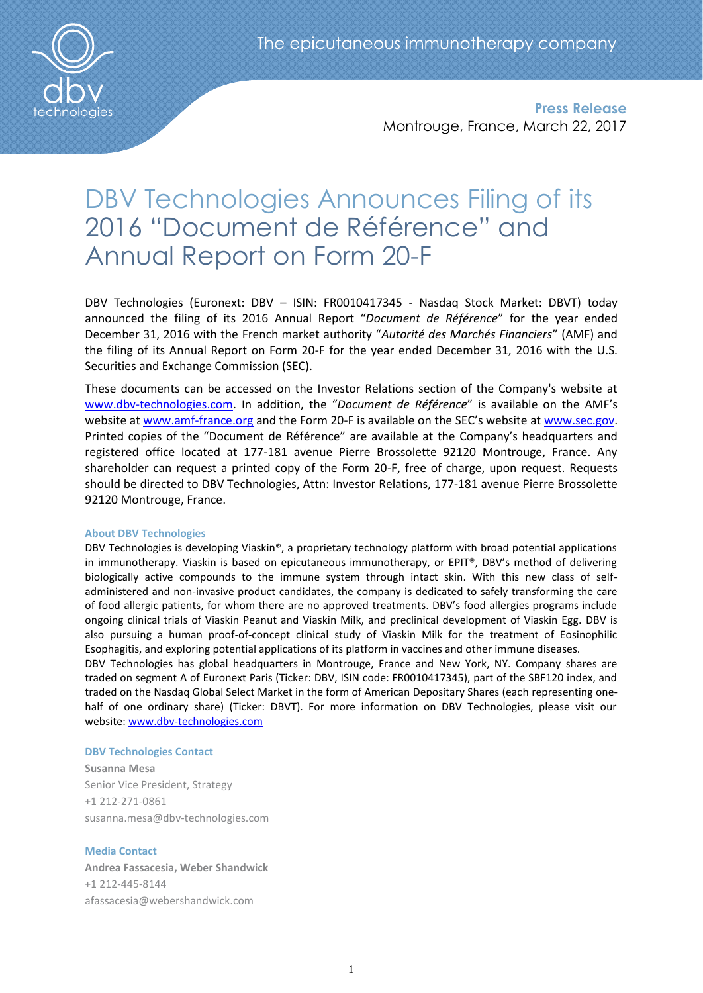

**Press Release** Montrouge, France, March 22, 2017

# DBV Technologies Announces Filing of its 2016 "Document de Référence" and Annual Report on Form 20-F

DBV Technologies (Euronext: DBV – ISIN: FR0010417345 - Nasdaq Stock Market: DBVT) today announced the filing of its 2016 Annual Report "*Document de Référence*" for the year ended December 31, 2016 with the French market authority "*Autorité des Marchés Financiers*" (AMF) and the filing of its Annual Report on Form 20-F for the year ended December 31, 2016 with the U.S. Securities and Exchange Commission (SEC).

These documents can be accessed on the Investor Relations section of the Company's website at [www.dbv-technologies.com](http://www.dbv-technologies.com/). In addition, the "*Document de Référence*" is available on the AMF's website at [www.amf-france.org](http://www.amf-france.org/) and the Form 20-F is available on the SEC's website at [www.sec.gov.](http://www.sec.gov/) Printed copies of the "Document de Référence" are available at the Company's headquarters and registered office located at 177-181 avenue Pierre Brossolette 92120 Montrouge, France. Any shareholder can request a printed copy of the Form 20-F, free of charge, upon request. Requests should be directed to DBV Technologies, Attn: Investor Relations, 177-181 avenue Pierre Brossolette 92120 Montrouge, France.

### **About DBV Technologies**

DBV Technologies is developing Viaskin®, a proprietary technology platform with broad potential applications in immunotherapy. Viaskin is based on epicutaneous immunotherapy, or EPIT®, DBV's method of delivering biologically active compounds to the immune system through intact skin. With this new class of selfadministered and non-invasive product candidates, the company is dedicated to safely transforming the care of food allergic patients, for whom there are no approved treatments. DBV's food allergies programs include ongoing clinical trials of Viaskin Peanut and Viaskin Milk, and preclinical development of Viaskin Egg. DBV is also pursuing a human proof-of-concept clinical study of Viaskin Milk for the treatment of Eosinophilic Esophagitis, and exploring potential applications of its platform in vaccines and other immune diseases.

DBV Technologies has global headquarters in Montrouge, France and New York, NY. Company shares are traded on segment A of Euronext Paris (Ticker: DBV, ISIN code: FR0010417345), part of the SBF120 index, and traded on the Nasdaq Global Select Market in the form of American Depositary Shares (each representing onehalf of one ordinary share) (Ticker: DBVT). For more information on DBV Technologies, please visit our website: [www.dbv-technologies.com](http://www.dbv-technologies.com/)

### **DBV Technologies Contact**

**Susanna Mesa** Senior Vice President, Strategy +1 212-271-0861 [susanna.mesa@dbv-technologies.com](mailto:susanna.mesa@dbv-technologies.com)

### **Media Contact**

**Andrea Fassacesia, Weber Shandwick** +1 212-445-8144 [afassacesia@webershandwick.com](mailto:afassacesia@webershandwick.com)